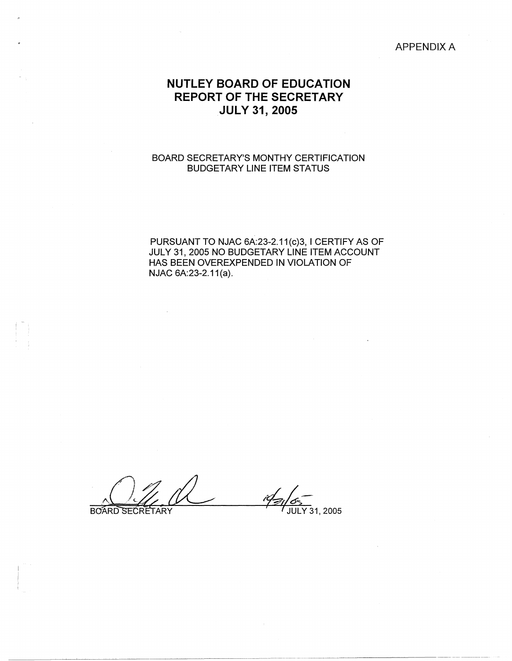#### APPENDIX A

# **NUTLEY BOARD OF EDUCATION REPORT OF THE SECRETARY JULY 31, 2005**

### BOARD SECRETARY'S MONTHY CERTIFICATION BUDGETARY LINE ITEM STATUS

PURSUANT TO NJAC 6A:23-2.11(c)3, I CERTIFY AS OF JULY 31, 2005 NO BUDGETARY LINE ITEM ACCOUNT HAS BEEN OVEREXPENDED IN VIOLATION OF NJAC 6A:23-2.11(a).

BOARD SECRETARY .  $\left( \begin{array}{c} \end{array} \right)$ **IQ. / 2005**<br>BOARD SECRETARY **4/3**/05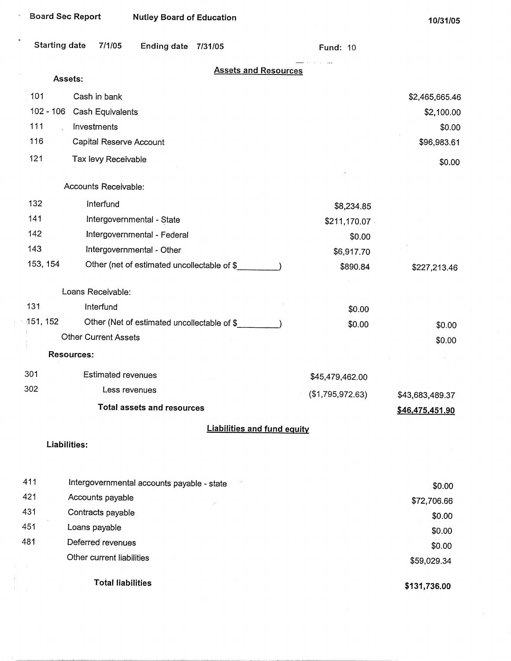| <b>Board Sec Report</b><br><b>Nutley Board of Education</b> |                           |                                             | 10/31/05                           |                  |                                    |
|-------------------------------------------------------------|---------------------------|---------------------------------------------|------------------------------------|------------------|------------------------------------|
| <b>Starting date</b>                                        | 7/1/05                    | <b>Ending date</b>                          | 7/31/05                            | <b>Fund: 10</b>  |                                    |
|                                                             | Assets:                   |                                             | <b>Assets and Resources</b>        |                  |                                    |
| 101                                                         | Cash in bank              |                                             |                                    |                  | \$2,465,665.46                     |
| $102 - 106$                                                 | Cash Equivalents          |                                             |                                    |                  | \$2,100.00                         |
| 111                                                         | Investments               |                                             |                                    |                  | \$0.00                             |
| 116                                                         | Capital Reserve Account   |                                             |                                    |                  | \$96,983.61                        |
| 121                                                         | Tax levy Receivable       |                                             |                                    |                  | \$0.00                             |
|                                                             |                           |                                             |                                    |                  |                                    |
|                                                             | Accounts Receivable:      |                                             |                                    |                  |                                    |
| 132                                                         | Interfund                 |                                             |                                    | \$8,234.85       |                                    |
| 141                                                         |                           | Intergovernmental - State                   |                                    | \$211,170.07     |                                    |
| 142                                                         |                           | Intergovernmental - Federal                 |                                    | \$0.00           |                                    |
| 143                                                         |                           | Intergovernmental - Other                   |                                    | \$6,917.70       |                                    |
| 153, 154                                                    |                           | Other (net of estimated uncollectable of \$ |                                    | \$890.84         | \$227,213.46                       |
|                                                             | Loans Receivable:         |                                             |                                    |                  |                                    |
| 131                                                         | Interfund                 |                                             |                                    | \$0.00           |                                    |
| 151, 152                                                    |                           | Other (Net of estimated uncollectable of \$ |                                    | \$0.00           | \$0.00                             |
|                                                             | Other Current Assets      |                                             |                                    |                  | \$0.00                             |
|                                                             | <b>Resources:</b>         |                                             |                                    |                  |                                    |
| 301                                                         |                           | <b>Estimated revenues</b>                   |                                    | \$45,479,462.00  |                                    |
| 302                                                         |                           | Less revenues                               |                                    | (\$1,795,972.63) |                                    |
|                                                             |                           | <b>Total assets and resources</b>           |                                    |                  | \$43,683,489.37<br>\$46,475,451.90 |
|                                                             |                           |                                             | <b>Liabilities and fund equity</b> |                  |                                    |
|                                                             | Liabilities:              |                                             |                                    |                  |                                    |
|                                                             |                           |                                             |                                    |                  |                                    |
| 411                                                         |                           | Intergovernmental accounts payable - state  |                                    |                  | \$0.00                             |
| 421                                                         | Accounts payable          |                                             |                                    |                  | \$72,706.66                        |
| 431                                                         | Contracts payable         |                                             |                                    |                  | \$0.00                             |
| 451                                                         | Loans payable             |                                             |                                    |                  | \$0.00                             |
| 481                                                         | Deferred revenues         |                                             |                                    |                  | \$0.00                             |
|                                                             | Other current liabilities |                                             |                                    |                  | \$59,029.34                        |
|                                                             |                           | <b>Total liabilities</b>                    |                                    |                  | \$131.736.00                       |

**\$131,736.00**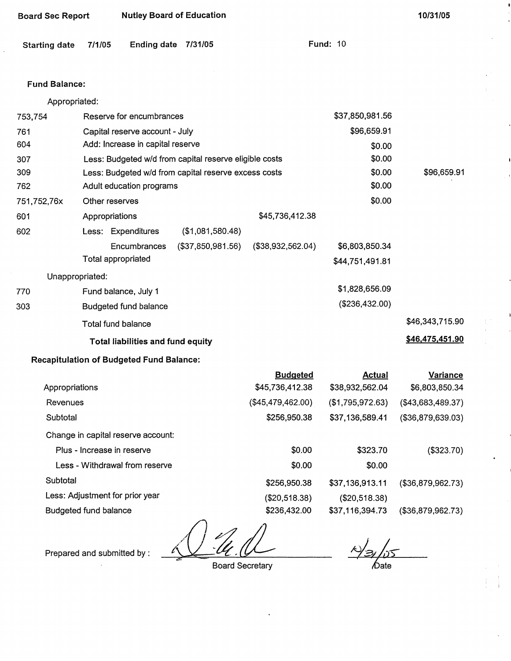| Board Sec Report | <b>Nutley Board of Education</b> |
|------------------|----------------------------------|
|------------------|----------------------------------|

| Starting date 7/1/05 |  | Ending date 7/31/05 |  | <b>Fund: 10</b> |  |
|----------------------|--|---------------------|--|-----------------|--|
|----------------------|--|---------------------|--|-----------------|--|

### Fund **Balance:**

| Appropriated: |                                                        |                   |                   |                 |                 |
|---------------|--------------------------------------------------------|-------------------|-------------------|-----------------|-----------------|
| 753,754       | Reserve for encumbrances                               |                   |                   | \$37,850,981.56 |                 |
| 761           | Capital reserve account - July                         |                   |                   | \$96,659.91     |                 |
| 604           | Add: Increase in capital reserve                       |                   |                   | \$0.00          |                 |
| 307           | Less: Budgeted w/d from capital reserve eligible costs |                   |                   | \$0.00          |                 |
| 309           | Less: Budgeted w/d from capital reserve excess costs   |                   |                   | \$0.00          | \$96,659.91     |
| 762           | Adult education programs                               |                   | \$0.00            |                 |                 |
| 751,752,76x   | Other reserves                                         |                   |                   | \$0.00          |                 |
| 601           | Appropriations                                         |                   | \$45,736,412.38   |                 |                 |
| 602           | Less: Expenditures                                     | (\$1,081,580.48)  |                   |                 |                 |
|               | Encumbrances                                           | (\$37,850,981.56) | (\$38,932,562.04) | \$6,803,850.34  |                 |
|               | Total appropriated                                     |                   |                   | \$44,751,491.81 |                 |
|               | Unappropriated:                                        |                   |                   |                 |                 |
| 770           | Fund balance, July 1                                   |                   |                   | \$1,828,656.09  |                 |
| 303           | <b>Budgeted fund balance</b>                           |                   |                   | (\$236,432.00)  |                 |
|               | Total fund balance                                     |                   |                   |                 | \$46,343,715.90 |
|               | <b>Total liabilities and fund equity</b>               |                   |                   |                 | \$46,475,451.90 |
|               |                                                        |                   |                   |                 |                 |

## **Recapitulation of Budgeted Fund Balance:**

| <b>Budgeted</b>   | Actual           | <b>Variance</b>   |
|-------------------|------------------|-------------------|
| \$45,736,412.38   | \$38,932,562.04  | \$6,803,850.34    |
| (\$45,479,462.00) | (\$1,795,972.63) | (\$43,683,489.37) |
| \$256,950.38      | \$37,136,589.41  | (\$36,879,639.03) |
|                   |                  |                   |
| \$0.00            | \$323.70         | (\$323.70)        |
| \$0.00            | \$0.00           |                   |
| \$256,950.38      | \$37,136,913.11  | (\$36,879,962.73) |
| (\$20,518.38)     | (\$20,518.38)    |                   |
| \$236,432.00      | \$37,116,394.73  | (\$36,879,962.73) |
|                   |                  |                   |

Prepared and submitted by :

Board Secretary

 $\frac{1}{\frac{1}{2}}$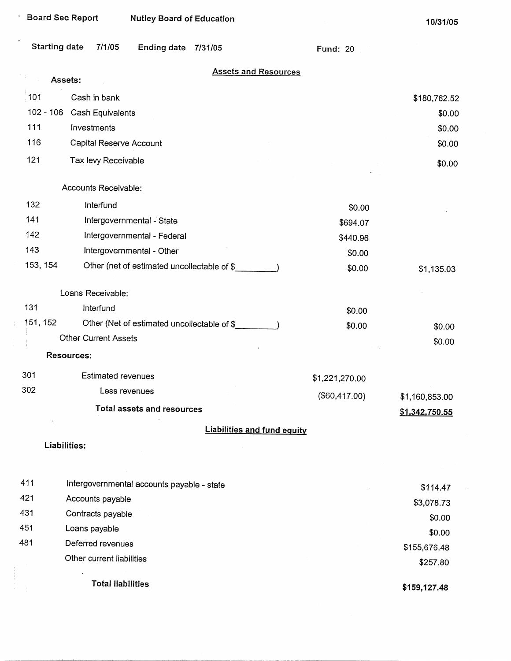| <b>Board Sec Report</b> |                             | <b>Nutley Board of Education</b>           |                                             |                                    |                 | 10/31/05       |
|-------------------------|-----------------------------|--------------------------------------------|---------------------------------------------|------------------------------------|-----------------|----------------|
| <b>Starting date</b>    | 7/1/05                      | <b>Ending date</b>                         | 7/31/05                                     |                                    | <b>Fund: 20</b> |                |
|                         | Assets:                     |                                            |                                             | <b>Assets and Resources</b>        |                 |                |
| ំ101                    | Cash in bank                |                                            |                                             |                                    |                 | \$180,762.52   |
|                         | 102 - 106 Cash Equivalents  |                                            |                                             |                                    |                 | \$0.00         |
| 111                     | Investments                 |                                            |                                             |                                    |                 | \$0.00         |
| 116                     | Capital Reserve Account     |                                            |                                             |                                    |                 | \$0.00         |
| 121                     | Tax levy Receivable         |                                            |                                             |                                    |                 | \$0.00         |
|                         |                             |                                            |                                             |                                    |                 |                |
|                         | Accounts Receivable:        |                                            |                                             |                                    |                 |                |
| 132                     | Interfund                   |                                            |                                             |                                    | \$0.00          |                |
| 141                     |                             | Intergovernmental - State                  |                                             |                                    | \$694.07        |                |
| 142                     |                             | Intergovernmental - Federal                |                                             |                                    | \$440.96        |                |
| 143                     |                             | Intergovernmental - Other                  |                                             |                                    | \$0.00          |                |
| 153, 154                |                             |                                            | Other (net of estimated uncollectable of \$ |                                    | \$0.00          | \$1,135.03     |
|                         | Loans Receivable:           |                                            |                                             |                                    |                 |                |
| 131                     | Interfund                   |                                            |                                             |                                    | \$0.00          |                |
| 151, 152                |                             |                                            | Other (Net of estimated uncollectable of \$ |                                    | \$0.00          | \$0.00         |
|                         | <b>Other Current Assets</b> |                                            |                                             |                                    |                 | \$0.00         |
|                         | <b>Resources:</b>           |                                            |                                             |                                    |                 |                |
| 301                     | <b>Estimated revenues</b>   |                                            |                                             |                                    | \$1,221,270.00  |                |
| 302                     |                             | Less revenues                              |                                             |                                    | (\$60,417.00)   | \$1,160,853.00 |
|                         |                             | Total assets and resources                 |                                             |                                    |                 | \$1,342,750.55 |
|                         |                             |                                            |                                             | <b>Liabilities and fund equity</b> |                 |                |
|                         | Liabilities:                |                                            |                                             |                                    |                 |                |
|                         |                             |                                            |                                             |                                    |                 |                |
| 411                     |                             | Intergovernmental accounts payable - state |                                             |                                    |                 | \$114.47       |
| 421                     | Accounts payable            |                                            |                                             |                                    |                 | \$3,078.73     |
| 431                     | Contracts payable           |                                            |                                             |                                    |                 | \$0.00         |
| 451                     | Loans payable               |                                            |                                             |                                    |                 | \$0.00         |
| 481                     | Deferred revenues           |                                            |                                             |                                    |                 | \$155,676.48   |
|                         | Other current liabilities   |                                            |                                             |                                    |                 | \$257.80       |
|                         | <b>Total liabilities</b>    |                                            |                                             |                                    |                 | \$159,127.48   |

 $\mathcal{A}^{\prime}$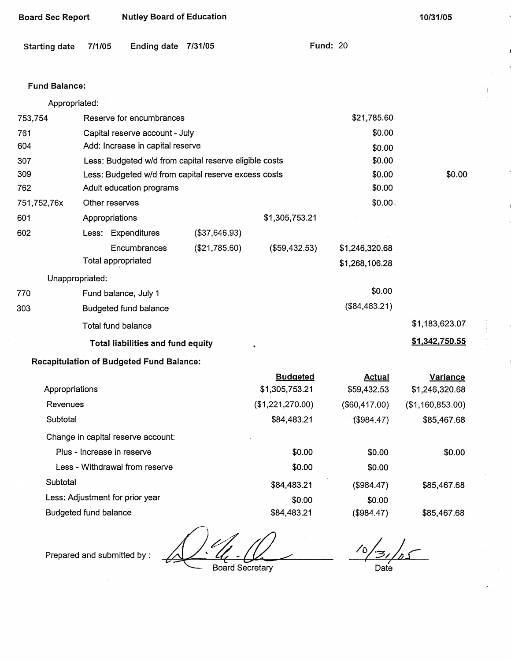| <b>Board Sec Report</b> |                | <b>Nutley Board of Education</b>                       |               |                  |                     | 10/31/05         |
|-------------------------|----------------|--------------------------------------------------------|---------------|------------------|---------------------|------------------|
| <b>Starting date</b>    | 7/1/05         | Ending date 7/31/05                                    |               |                  | <b>Fund: 20</b>     |                  |
| <b>Fund Balance:</b>    |                |                                                        |               |                  |                     |                  |
| Appropriated:           |                |                                                        |               |                  |                     |                  |
| 753,754                 |                | Reserve for encumbrances                               |               |                  | \$21,785.60         |                  |
| 761                     |                | Capital reserve account - July                         |               |                  | \$0.00              |                  |
| 604                     |                | Add: Increase in capital reserve                       |               |                  | \$0.00              |                  |
| 307                     |                | Less: Budgeted w/d from capital reserve eligible costs |               |                  | \$0.00              |                  |
| 309                     |                | Less: Budgeted w/d from capital reserve excess costs   |               |                  | \$0.00              | \$0.00           |
| 762                     |                | Adult education programs                               |               |                  | \$0.00              |                  |
| 751,752,76x             | Other reserves |                                                        |               |                  | \$0.00 <sub>0</sub> |                  |
| 601                     | Appropriations |                                                        |               | \$1,305,753.21   |                     |                  |
| 602                     |                | Less: Expenditures                                     | (\$37,646.93) |                  |                     |                  |
|                         |                | Encumbrances                                           | (\$21,785.60) | (\$59,432.53)    | \$1,246,320.68      |                  |
|                         |                | <b>Total appropriated</b>                              |               |                  | \$1,268,106.28      |                  |
| Unappropriated:         |                |                                                        |               |                  |                     |                  |
| 770                     |                | Fund balance, July 1                                   |               |                  | \$0.00              |                  |
| 303                     |                | <b>Budgeted fund balance</b>                           |               |                  | (\$84,483.21)       |                  |
|                         |                | Total fund balance                                     |               |                  |                     | \$1,183,623.07   |
|                         |                | <b>Total liabilities and fund equity</b>               |               |                  |                     | \$1,342,750.55   |
|                         |                | <b>Recapitulation of Budgeted Fund Balance:</b>        |               |                  |                     |                  |
|                         |                |                                                        |               | <b>Budgeted</b>  | <b>Actual</b>       | Variance         |
| Appropriations          |                |                                                        |               | \$1,305,753.21   | \$59,432.53         | \$1,246,320.68   |
| Revenues                |                |                                                        |               | (\$1,221,270.00) | (\$60,417.00)       | (\$1,160,853.00) |
| Subtotal                |                |                                                        |               | \$84,483.21      | (\$984.47)          | \$85,467.68      |
|                         |                | Change in capital reserve account:                     |               |                  |                     |                  |

Change in capital reserve account: Plus - Increase in reserve Less - Withdrawal from reserve Subtotal Less: Adjustment for prior year \$0.00 \$0.00 \$84,483.21 \$0.00 \$0.00 \$0.00 (\$984.47) \$0.00 \$0.00 \$85,467.68

\$84,483.21

Budgeted fund balance

Prepared and submitted by:

Board Secretary

70 ' *I*  Date

\$85,467.68

(\$984.47)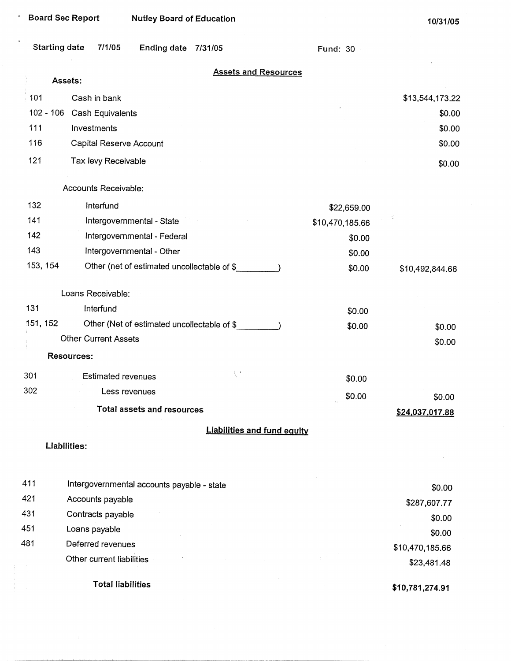|                      | <b>Board Sec Report</b><br><b>Nutley Board of Education</b> |                 | 10/31/05        |
|----------------------|-------------------------------------------------------------|-----------------|-----------------|
| <b>Starting date</b> | 7/1/05<br><b>Ending date</b><br>7/31/05                     | <b>Fund: 30</b> |                 |
|                      | <b>Assets and Resources</b><br>Assets:                      |                 |                 |
| 101                  | Cash in bank                                                |                 | \$13,544,173.22 |
| $102 - 106$          | Cash Equivalents                                            |                 | \$0.00          |
| 111                  | Investments                                                 |                 | \$0.00          |
| 116                  | Capital Reserve Account                                     |                 | \$0.00          |
| 121                  | Tax levy Receivable                                         |                 | \$0.00          |
|                      | Accounts Receivable:                                        |                 |                 |
| 132                  | Interfund                                                   | \$22,659.00     |                 |
| 141                  | Intergovernmental - State                                   | \$10,470,185.66 |                 |
| 142                  | Intergovernmental - Federal                                 | \$0.00          |                 |
| 143                  | Intergovernmental - Other                                   | \$0.00          |                 |
| 153, 154             | Other (net of estimated uncollectable of \$                 | \$0.00          | \$10,492,844.66 |
|                      | Loans Receivable:                                           |                 |                 |
| 131                  | Interfund                                                   | \$0.00          |                 |
| 151, 152             | Other (Net of estimated uncollectable of \$                 | \$0.00          | \$0.00          |
|                      | <b>Other Current Assets</b>                                 |                 | \$0.00          |
|                      | <b>Resources:</b>                                           |                 |                 |
| 301                  | $\setminus$ :<br><b>Estimated revenues</b>                  | \$0.00          |                 |
| 302                  | Less revenues                                               | \$0.00          | \$0.00          |
|                      | <b>Total assets and resources</b>                           |                 | \$24,037,017.88 |
|                      | <b>Liabilities and fund equity</b>                          |                 |                 |
|                      | Liabilities:                                                |                 |                 |
|                      |                                                             |                 |                 |
| 411                  | Intergovernmental accounts payable - state                  |                 | \$0.00          |
| 421                  | Accounts payable                                            |                 | \$287,607.77    |
| 431                  | Contracts payable                                           |                 | \$0.00          |
| 451                  | Loans payable                                               |                 | \$0.00          |
| 481                  | Deferred revenues                                           |                 | \$10,470,185.66 |
|                      | Other current liabilities                                   |                 | \$23,481.48     |

 $\mathcal{L}^{\text{max}}_{\text{max}}$  and

Total liabilities

**\$10,781,274.91** 

 $\sim$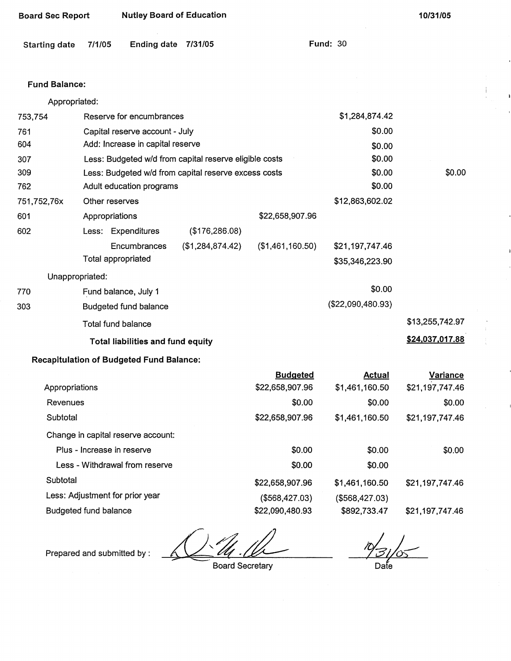| <b>Board Sec Report</b> |                                                        | <b>Nutley Board of Education</b> |                  |                  |                 | 10/31/05 |
|-------------------------|--------------------------------------------------------|----------------------------------|------------------|------------------|-----------------|----------|
| <b>Starting date</b>    | 7/1/05                                                 | <b>Ending date</b>               | 7/31/05          |                  | <b>Fund: 30</b> |          |
| <b>Fund Balance:</b>    |                                                        |                                  |                  |                  |                 |          |
| Appropriated:           |                                                        |                                  |                  |                  |                 |          |
| 753,754                 |                                                        | Reserve for encumbrances         |                  |                  | \$1,284,874.42  |          |
| 761                     | Capital reserve account - July                         |                                  |                  | \$0.00           |                 |          |
| 604                     | Add: Increase in capital reserve<br>\$0.00             |                                  |                  |                  |                 |          |
| 307                     | Less: Budgeted w/d from capital reserve eligible costs |                                  |                  |                  | \$0.00          |          |
| 309                     | Less: Budgeted w/d from capital reserve excess costs   |                                  |                  | \$0.00           | \$0.00          |          |
| 762                     |                                                        | Adult education programs         |                  |                  | \$0.00          |          |
| 751,752,76x             | Other reserves                                         |                                  |                  |                  | \$12,863,602.02 |          |
| 601                     | Appropriations                                         |                                  |                  | \$22,658,907.96  |                 |          |
| 602                     |                                                        | Less: Expenditures               | (\$176,286.08)   |                  |                 |          |
|                         |                                                        | Encumbrances                     | (\$1,284,874.42) | (\$1,461,160.50) | \$21,197,747.46 |          |
|                         |                                                        | Total appropriated               |                  |                  | \$35,346,223.90 |          |
| Unappropriated:         |                                                        |                                  |                  |                  |                 |          |
| 770                     |                                                        | Fund balance, July 1             |                  |                  | \$0.00          |          |
|                         |                                                        |                                  |                  |                  | 1000000000000   |          |

303 Budgeted fund balance (\$22,090,480.93)

Total fund balance \$13,255,742.97

# **Total liabilities and fund equity** *Allenger and two states and fund equity* **<b>***\$24,037,017.88*

## **Recapitulation of Budgeted** Fund **Balance:**

|                                    | <b>Budgeted</b> | Actual         | Variance        |
|------------------------------------|-----------------|----------------|-----------------|
| Appropriations                     | \$22,658,907.96 | \$1,461,160.50 | \$21,197,747.46 |
| Revenues                           | \$0.00          | \$0.00         | \$0.00          |
| Subtotal                           | \$22,658,907.96 | \$1,461,160.50 | \$21,197,747.46 |
| Change in capital reserve account: |                 |                |                 |
| Plus - Increase in reserve         | \$0.00          | \$0.00         | \$0.00          |
| Less - Withdrawal from reserve     | \$0.00          | \$0.00         |                 |
| Subtotal                           | \$22,658,907.96 | \$1,461,160.50 | \$21,197,747.46 |
| Less: Adjustment for prior year    | (\$568,427.03)  | (\$568,427.03) |                 |
| Budgeted fund balance              | \$22,090,480.93 | \$892,733.47   | \$21,197,747.46 |

Prepared and submitted by :

Board Secretary

 $\frac{10}{31/05}$ 

Date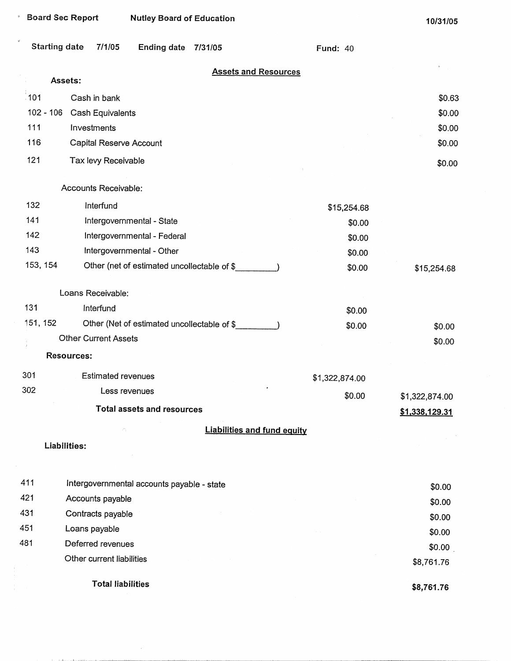|             | <b>Board Sec Report</b>        | <b>Nutley Board of Education</b>           |                                             |                 | 10/31/05       |
|-------------|--------------------------------|--------------------------------------------|---------------------------------------------|-----------------|----------------|
|             | <b>Starting date</b><br>7/1/05 | <b>Ending date</b>                         | 7/31/05                                     | <b>Fund: 40</b> |                |
|             | Assets:                        |                                            | <b>Assets and Resources</b>                 |                 |                |
| 101         | Cash in bank                   |                                            |                                             |                 | \$0.63         |
| $102 - 106$ | Cash Equivalents               |                                            |                                             |                 | \$0.00         |
| 111         | Investments                    |                                            |                                             |                 | \$0.00         |
| 116         | Capital Reserve Account        |                                            |                                             |                 | \$0.00         |
| 121         | Tax levy Receivable            |                                            |                                             |                 | \$0.00         |
|             | Accounts Receivable:           |                                            |                                             |                 |                |
| 132         | Interfund                      |                                            |                                             | \$15,254.68     |                |
| 141         |                                | Intergovernmental - State                  |                                             | \$0.00          |                |
| 142         |                                | Intergovernmental - Federal                |                                             | \$0.00          |                |
| 143         |                                | Intergovernmental - Other                  |                                             | \$0.00          |                |
| 153, 154    |                                |                                            | Other (net of estimated uncollectable of \$ | \$0.00          | \$15,254.68    |
|             | Loans Receivable:              |                                            |                                             |                 |                |
| 131         | Interfund                      |                                            |                                             | \$0.00          |                |
| 151, 152    |                                |                                            | Other (Net of estimated uncollectable of \$ | \$0.00          | \$0.00         |
|             | <b>Other Current Assets</b>    |                                            |                                             |                 | \$0.00         |
|             | Resources:                     |                                            |                                             |                 |                |
| 301         | <b>Estimated revenues</b>      |                                            |                                             | \$1,322,874.00  |                |
| 302         |                                | Less revenues                              |                                             | \$0.00          | \$1,322,874.00 |
|             |                                | <b>Total assets and resources</b>          |                                             |                 | \$1,338,129.31 |
|             |                                |                                            | <b>Liabilities and fund equity</b>          |                 |                |
|             | Liabilities:                   |                                            |                                             |                 |                |
|             |                                |                                            |                                             |                 |                |
| 411         |                                | Intergovernmental accounts payable - state |                                             |                 | \$0.00         |
| 421         | Accounts payable               |                                            |                                             |                 | \$0.00         |
| 431         | Contracts payable              |                                            |                                             |                 | \$0.00         |
| 451         | Loans payable                  |                                            |                                             |                 | \$0.00         |
| 481         | Deferred revenues              |                                            |                                             |                 | \$0.00         |
|             | Other current liabilities      |                                            |                                             |                 | \$8,761.76     |
|             | <b>Total liabilities</b>       |                                            |                                             |                 | \$8,761.76     |

 $\hat{\boldsymbol{\beta}}$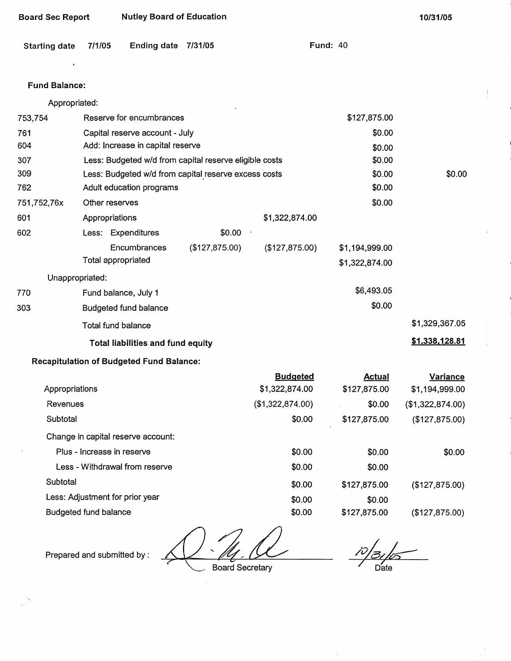| <b>Board Sec Report</b> |                            | <b>Nutley Board of Education</b>                       |                |                                   | 10/31/05                         |                                   |
|-------------------------|----------------------------|--------------------------------------------------------|----------------|-----------------------------------|----------------------------------|-----------------------------------|
| <b>Starting date</b>    | 7/1/05                     | <b>Ending date</b>                                     | 7/31/05        |                                   | <b>Fund: 40</b>                  |                                   |
| <b>Fund Balance:</b>    |                            |                                                        |                |                                   |                                  |                                   |
| Appropriated:           |                            |                                                        |                |                                   |                                  |                                   |
| 753,754                 |                            | Reserve for encumbrances                               |                |                                   | \$127,875.00                     |                                   |
| 761                     |                            | Capital reserve account - July                         |                |                                   | \$0.00                           |                                   |
| 604                     |                            | Add: Increase in capital reserve                       |                |                                   | \$0.00                           |                                   |
| 307                     |                            | Less: Budgeted w/d from capital reserve eligible costs |                |                                   | \$0.00                           |                                   |
| 309                     |                            | Less: Budgeted w/d from capital reserve excess costs   |                |                                   | \$0.00                           | \$0.00                            |
| 762                     |                            | Adult education programs                               |                |                                   | \$0.00                           |                                   |
| 751,752,76x             | Other reserves             |                                                        |                |                                   | \$0.00                           |                                   |
| 601                     | Appropriations             |                                                        |                | \$1,322,874.00                    |                                  |                                   |
| 602                     |                            | Less: Expenditures                                     | \$0.00         |                                   |                                  |                                   |
|                         |                            | Encumbrances<br><b>Total appropriated</b>              | (\$127,875.00) | (\$127,875.00)                    | \$1,194,999.00<br>\$1,322,874.00 |                                   |
| Unappropriated:         |                            |                                                        |                |                                   |                                  |                                   |
| 770                     |                            | Fund balance, July 1                                   |                |                                   | \$6,493.05                       |                                   |
| 303                     |                            | <b>Budgeted fund balance</b>                           |                |                                   | \$0.00                           |                                   |
|                         |                            | <b>Total fund balance</b>                              |                |                                   |                                  | \$1,329,367.05                    |
|                         |                            |                                                        |                |                                   |                                  | \$1,338,128.81                    |
|                         |                            | <b>Total liabilities and fund equity</b>               |                |                                   |                                  |                                   |
|                         |                            | <b>Recapitulation of Budgeted Fund Balance:</b>        |                |                                   |                                  |                                   |
| Appropriations          |                            |                                                        |                | <b>Budgeted</b><br>\$1,322,874.00 | <b>Actual</b><br>\$127,875.00    | <b>Variance</b><br>\$1,194,999.00 |
| Revenues                |                            |                                                        |                | (\$1,322,874.00)                  | \$0.00                           | (\$1,322,874.00)                  |
| Subtotal                |                            |                                                        |                | \$0.00                            | \$127,875.00                     | (\$127, 875.00)                   |
|                         |                            | Change in capital reserve account:                     |                |                                   |                                  |                                   |
|                         | Plus - Increase in reserve |                                                        |                | \$0.00                            | \$0.00                           | \$0.00                            |
|                         |                            | Less - Withdrawal from reserve                         |                | \$0.00                            | \$0.00                           |                                   |
| Subtotal                |                            |                                                        |                | \$0.00                            | \$127,875.00                     | (\$127,875.00)                    |

Less: Adjustment for prior year

Budgeted fund balance

Prepared and submitted by:

Board Secretary

\$0.00 \$0.00

Date

(\$127,875.00)

\$0.00

\$127,875.00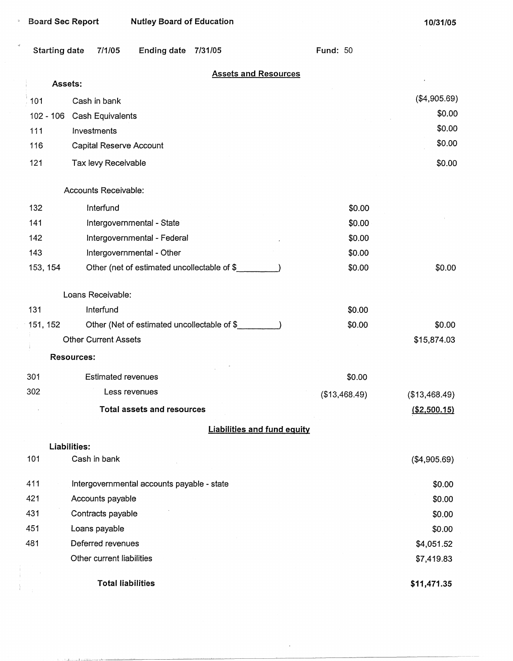$\mathbf{v}$ 

 $\begin{array}{c} \begin{array}{c} \begin{array}{c} \end{array} \end{array} \end{array}$ 

|          | <b>Starting date</b><br>7/1/05<br><b>Ending date</b><br>7/31/05 | <b>Fund: 50</b> |               |
|----------|-----------------------------------------------------------------|-----------------|---------------|
|          | <b>Assets and Resources</b>                                     |                 |               |
|          | Assets:                                                         |                 | (\$4,905.69)  |
| 101      | Cash in bank                                                    |                 | \$0.00        |
|          | $102 - 106$<br>Cash Equivalents                                 |                 | \$0.00        |
| 111      | Investments                                                     |                 | \$0.00        |
| 116      | Capital Reserve Account                                         |                 |               |
| 121      | Tax levy Receivable                                             |                 | \$0.00        |
|          | Accounts Receivable:                                            |                 |               |
| 132      | Interfund                                                       | \$0.00          |               |
| 141      | Intergovernmental - State                                       | \$0.00          |               |
| 142      | Intergovernmental - Federal                                     | \$0.00          |               |
| 143      | Intergovernmental - Other                                       | \$0.00          |               |
| 153, 154 | Other (net of estimated uncollectable of \$                     | \$0.00          | \$0.00        |
|          | Loans Receivable:                                               |                 |               |
| 131      | Interfund                                                       | \$0.00          |               |
| 151, 152 | Other (Net of estimated uncollectable of \$                     | \$0.00          | \$0.00        |
|          | <b>Other Current Assets</b>                                     |                 | \$15,874.03   |
|          | <b>Resources:</b>                                               |                 |               |
| 301      | <b>Estimated revenues</b>                                       | \$0.00          |               |
| 302      | Less revenues                                                   | (\$13,468.49)   | (\$13,468.49) |
|          | <b>Total assets and resources</b>                               |                 | ( \$2,500.15) |
|          | <b>Liabilities and fund equity</b>                              |                 |               |
|          | Liabilities:                                                    |                 |               |
| 101      | Cash in bank                                                    |                 | (\$4,905.69)  |
| 411      | Intergovernmental accounts payable - state                      |                 | \$0.00        |
| 421      | Accounts payable                                                |                 | \$0.00        |
| 431      | Contracts payable                                               |                 | \$0.00        |
| 451      | Loans payable                                                   |                 | \$0.00        |
| 481      | Deferred revenues                                               |                 | \$4,051.52    |
|          | Other current liabilities                                       |                 | \$7,419.83    |
|          | <b>Total liabilities</b>                                        |                 | \$11,471.35   |

 $\ddot{\phantom{0}}$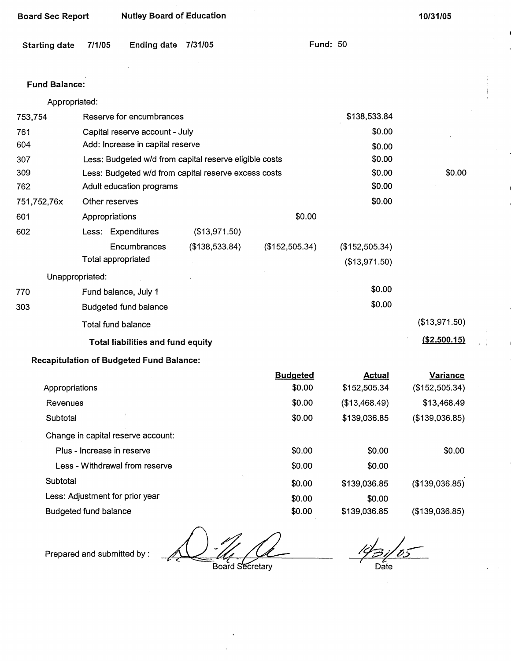| <b>Board Sec Report</b> |                            | <b>Nutley Board of Education</b>                |                                                        |                 | 10/31/05        |                 |
|-------------------------|----------------------------|-------------------------------------------------|--------------------------------------------------------|-----------------|-----------------|-----------------|
| <b>Starting date</b>    | 7/1/05                     | <b>Ending date</b>                              | 7/31/05                                                |                 | <b>Fund: 50</b> |                 |
| <b>Fund Balance:</b>    |                            |                                                 |                                                        |                 |                 |                 |
| Appropriated:           |                            |                                                 |                                                        |                 |                 |                 |
| 753,754                 |                            | Reserve for encumbrances                        |                                                        |                 | \$138,533.84    |                 |
| 761                     |                            | Capital reserve account - July                  |                                                        |                 | \$0.00          |                 |
| 604                     |                            | Add: Increase in capital reserve                |                                                        |                 | \$0.00          |                 |
| 307                     |                            |                                                 | Less: Budgeted w/d from capital reserve eligible costs |                 | \$0.00          |                 |
| 309                     |                            |                                                 | Less: Budgeted w/d from capital reserve excess costs   |                 | \$0.00          | \$0.00          |
| 762                     |                            | Adult education programs                        |                                                        |                 | \$0.00          |                 |
| 751,752,76x             | Other reserves             |                                                 |                                                        |                 | \$0.00          |                 |
| 601                     | Appropriations             |                                                 |                                                        | \$0.00          |                 |                 |
| 602                     |                            | Less: Expenditures                              | (\$13,971.50)                                          |                 |                 |                 |
|                         |                            | Encumbrances                                    | (\$138,533.84)                                         | (\$152,505.34)  | (\$152,505.34)  |                 |
|                         | <b>Total appropriated</b>  |                                                 |                                                        |                 | (\$13,971.50)   |                 |
| Unappropriated:         |                            |                                                 |                                                        |                 |                 |                 |
| 770                     |                            | Fund balance, July 1                            |                                                        |                 | \$0.00          |                 |
| 303                     |                            | Budgeted fund balance                           |                                                        |                 | \$0.00          |                 |
|                         | Total fund balance         |                                                 |                                                        |                 |                 | (\$13,971.50)   |
|                         |                            | <b>Total liabilities and fund equity</b>        |                                                        |                 |                 | ( \$2,500.15)   |
|                         |                            | <b>Recapitulation of Budgeted Fund Balance:</b> |                                                        |                 |                 |                 |
|                         |                            |                                                 |                                                        | <b>Budgeted</b> | <b>Actual</b>   | <b>Variance</b> |
| Appropriations          |                            |                                                 |                                                        | \$0.00          | \$152,505.34    | (\$152,505.34)  |
| Revenues                |                            |                                                 |                                                        | \$0.00          | (\$13,468.49)   | \$13,468.49     |
| Subtotal                |                            |                                                 |                                                        | \$0.00          | \$139,036.85    | (\$139,036.85)  |
|                         |                            | Change in capital reserve account:              |                                                        |                 |                 |                 |
|                         | Plus - Increase in reserve |                                                 |                                                        | \$0.00          | \$0.00          | \$0.00          |

Less - Withdrawal from reserve Subtotal Less: Adjustment for prior year

Budgeted fund balance

Prepared and submitted by :

Board Secretary

\$0.00

\$0.00 \$0.00 \$0.00

*/la~r-7 l-*Date

(\$139,036.85)

(\$139,036.85)

\$0.00

\$0.00

\$139,036.85

\$139,036.85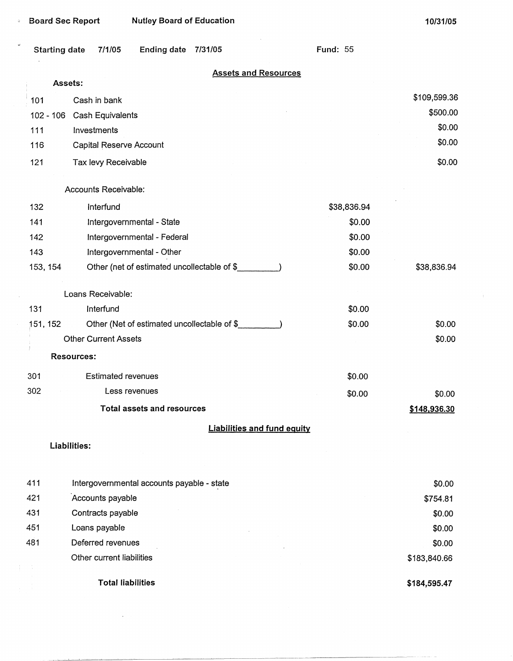$\downarrow$ 

 $\sim$ 

 $\lambda$ 

| <b>Starting date</b> | <b>Ending date</b><br>7/1/05<br>7/31/05     | <b>Fund: 55</b> |              |
|----------------------|---------------------------------------------|-----------------|--------------|
|                      | <b>Assets and Resources</b>                 |                 |              |
| Assets:              |                                             |                 |              |
| 101                  | Cash in bank                                |                 | \$109,599.36 |
| 102 - 106            | Cash Equivalents                            |                 | \$500.00     |
| 111                  | Investments                                 |                 | \$0.00       |
| 116                  | Capital Reserve Account                     |                 | \$0.00       |
| 121                  | Tax levy Receivable                         |                 | \$0.00       |
|                      | Accounts Receivable:                        |                 |              |
| 132                  | Interfund                                   | \$38,836.94     |              |
| 141                  | Intergovernmental - State                   | \$0.00          |              |
| 142                  | Intergovernmental - Federal                 | \$0.00          |              |
| 143                  | Intergovernmental - Other                   | \$0.00          |              |
| 153, 154             | Other (net of estimated uncollectable of \$ | \$0.00          | \$38,836.94  |
|                      | Loans Receivable:                           |                 |              |
| 131                  | Interfund                                   | \$0.00          |              |
| 151, 152             | Other (Net of estimated uncollectable of \$ | \$0.00          | \$0.00       |
|                      | <b>Other Current Assets</b>                 |                 | \$0.00       |
|                      | Resources:                                  |                 |              |
| 301                  | <b>Estimated revenues</b>                   | \$0.00          |              |
| 302                  | Less revenues                               | \$0.00          | \$0.00       |
|                      | <b>Total assets and resources</b>           |                 | \$148,936.30 |
|                      | <b>Liabilities and fund equity</b>          |                 |              |
|                      | Liabilities:                                |                 |              |

| 411 | Intergovernmental accounts payable - state | \$0.00       |
|-----|--------------------------------------------|--------------|
| 421 | Accounts payable                           | \$754.81     |
| 431 | Contracts payable                          | \$0.00       |
| 451 | Loans payable                              | \$0.00       |
| 481 | Deferred revenues                          | \$0.00       |
|     | Other current liabilities                  | \$183,840.66 |
|     | <b>Total liabilities</b>                   | \$184,595.47 |

 $\sim 10^{11}$